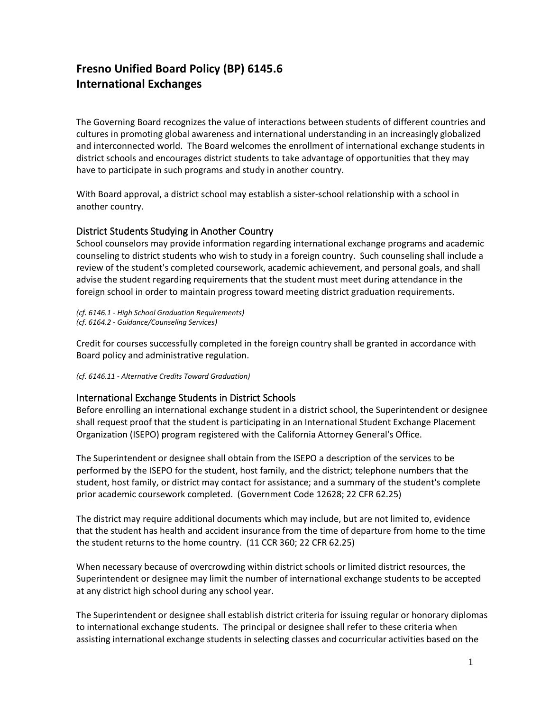## **Fresno Unified Board Policy (BP) 6145.6 International Exchanges**

The Governing Board recognizes the value of interactions between students of different countries and cultures in promoting global awareness and international understanding in an increasingly globalized and interconnected world. The Board welcomes the enrollment of international exchange students in district schools and encourages district students to take advantage of opportunities that they may have to participate in such programs and study in another country.

With Board approval, a district school may establish a sister-school relationship with a school in another country.

## District Students Studying in Another Country

School counselors may provide information regarding international exchange programs and academic counseling to district students who wish to study in a foreign country. Such counseling shall include a review of the student's completed coursework, academic achievement, and personal goals, and shall advise the student regarding requirements that the student must meet during attendance in the foreign school in order to maintain progress toward meeting district graduation requirements.

*(cf. 6146.1 - High School Graduation Requirements) (cf. 6164.2 - Guidance/Counseling Services)*

Credit for courses successfully completed in the foreign country shall be granted in accordance with Board policy and administrative regulation.

*(cf. 6146.11 - Alternative Credits Toward Graduation)*

## International Exchange Students in District Schools

Before enrolling an international exchange student in a district school, the Superintendent or designee shall request proof that the student is participating in an International Student Exchange Placement Organization (ISEPO) program registered with the California Attorney General's Office.

The Superintendent or designee shall obtain from the ISEPO a description of the services to be performed by the ISEPO for the student, host family, and the district; telephone numbers that the student, host family, or district may contact for assistance; and a summary of the student's complete prior academic coursework completed. (Government Code 12628; 22 CFR 62.25)

The district may require additional documents which may include, but are not limited to, evidence that the student has health and accident insurance from the time of departure from home to the time the student returns to the home country. (11 CCR 360; 22 CFR 62.25)

When necessary because of overcrowding within district schools or limited district resources, the Superintendent or designee may limit the number of international exchange students to be accepted at any district high school during any school year.

The Superintendent or designee shall establish district criteria for issuing regular or honorary diplomas to international exchange students. The principal or designee shall refer to these criteria when assisting international exchange students in selecting classes and cocurricular activities based on the